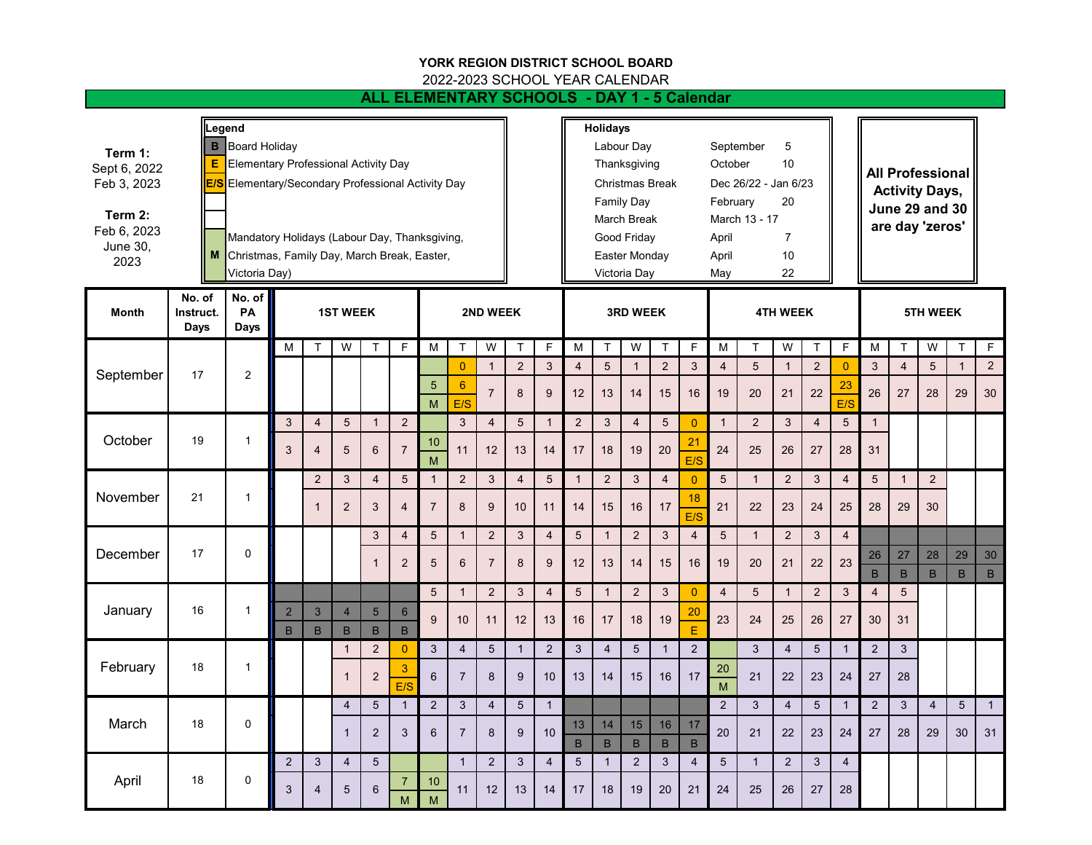## **YORK REGION DISTRICT SCHOOL BOARD**

2022-2023 SCHOOL YEAR CALENDAR

## **ALL ELEMENTARY SCHOOLS - DAY 1 - 5 Calendar**

| Term 1:<br>Sept 6, 2022<br>Feb 3, 2023<br>Term 2:<br>Feb 6, 2023<br>June 30,<br>2023<br>Month | Legend<br><b>B</b> Board Holiday<br>Е<br><b>Elementary Professional Activity Day</b><br>E/S<br>Elementary/Secondary Professional Activity Day<br>Mandatory Holidays (Labour Day, Thanksgiving,<br>Christmas, Family Day, March Break, Easter,<br>M<br>Victoria Day)<br>No. of<br>No. of<br>PA<br><b>1ST WEEK</b><br>2ND WEEK<br>Instruct. |                |                |                |                |                |                     |                      |                         |                |                 | <b>Holidays</b><br>5<br>Labour Day<br>September<br>10<br>Thanksgiving<br>October<br><b>Christmas Break</b><br>Dec 26/22 - Jan 6/23<br><b>Family Day</b><br>February<br>20<br><b>March Break</b><br>March 13 - 17<br>Good Friday<br>April<br>$\overline{7}$<br>Easter Monday<br>10<br>April<br>22<br>Victoria Day<br>May<br><b>4TH WEEK</b><br><b>3RD WEEK</b> |                                                                                       |                         |                      |                    |                      |                         |                |                | <b>All Professional</b><br><b>Activity Days,</b><br><b>June 29 and 30</b><br>are day 'zeros'<br><b>5TH WEEK</b> |                |                      |                 |                 |                   |                    |
|-----------------------------------------------------------------------------------------------|-------------------------------------------------------------------------------------------------------------------------------------------------------------------------------------------------------------------------------------------------------------------------------------------------------------------------------------------|----------------|----------------|----------------|----------------|----------------|---------------------|----------------------|-------------------------|----------------|-----------------|---------------------------------------------------------------------------------------------------------------------------------------------------------------------------------------------------------------------------------------------------------------------------------------------------------------------------------------------------------------|---------------------------------------------------------------------------------------|-------------------------|----------------------|--------------------|----------------------|-------------------------|----------------|----------------|-----------------------------------------------------------------------------------------------------------------|----------------|----------------------|-----------------|-----------------|-------------------|--------------------|
|                                                                                               | Days                                                                                                                                                                                                                                                                                                                                      | <b>Days</b>    | M              | $\mathsf{T}$   | W              | $\top$         | $\mathsf F$         | M                    | $\mathsf{T}$            | W              | $\mathsf{T}$    | F                                                                                                                                                                                                                                                                                                                                                             | $\mathsf{M}% _{T}=\mathsf{M}_{T}\!\left( a,b\right) ,\ \mathsf{M}_{T}=\mathsf{M}_{T}$ | $\top$                  | W                    | $\top$             | $\mathsf{F}$         | M                       | $\top$         | W              | $\mathsf{T}$                                                                                                    | F              | M                    | T               | W               |                   | $\mathsf F$        |
|                                                                                               | 17                                                                                                                                                                                                                                                                                                                                        | $\overline{2}$ |                |                |                |                |                     |                      | $\overline{0}$          | $\mathbf{1}$   | $\overline{2}$  | 3                                                                                                                                                                                                                                                                                                                                                             | $\overline{4}$                                                                        | $\overline{5}$          | $\mathbf{1}$         | $\overline{2}$     | 3                    | $\overline{4}$          | 5              | $\overline{1}$ | $\sqrt{2}$                                                                                                      | $\overline{0}$ | 3                    | $\overline{4}$  | $5\phantom{.0}$ | Τ<br>$\mathbf{1}$ | $\overline{2}$     |
| September                                                                                     |                                                                                                                                                                                                                                                                                                                                           |                |                |                |                |                |                     | $\overline{5}$<br>M  | $6\phantom{1}6$<br>E/S  | $\overline{7}$ | 8               | 9                                                                                                                                                                                                                                                                                                                                                             | 12                                                                                    | 13                      | 14                   | 15                 | 16                   | 19                      | 20             | 21             | 22                                                                                                              | 23<br>E/S      | 26                   | 27              | 28              | 29                | 30                 |
| October                                                                                       |                                                                                                                                                                                                                                                                                                                                           |                | 3              | $\overline{4}$ | $\sqrt{5}$     | $\mathbf{1}$   | $\overline{2}$      |                      | $\mathbf{3}$            | $\overline{4}$ | $5\phantom{1}$  | $\mathbf{1}$                                                                                                                                                                                                                                                                                                                                                  | $\overline{2}$                                                                        | 3                       | $\overline{4}$       | $\overline{5}$     | $\overline{0}$       | $\mathbf{1}$            | $\overline{2}$ | $\mathbf{3}$   | $\overline{4}$                                                                                                  | $\overline{5}$ | $\mathbf{1}$         |                 |                 |                   |                    |
|                                                                                               | 19                                                                                                                                                                                                                                                                                                                                        | $\mathbf{1}$   | 3              | $\overline{4}$ | 5              | 6              | $\overline{7}$      | 10<br>$\overline{M}$ | 11                      | 12             | 13              | 14                                                                                                                                                                                                                                                                                                                                                            | 17                                                                                    | 18                      | 19                   | 20                 | 21<br>E/S            | 24                      | 25             | 26             | 27                                                                                                              | 28             | 31                   |                 |                 |                   |                    |
|                                                                                               |                                                                                                                                                                                                                                                                                                                                           |                |                | $\overline{c}$ | 3              | $\overline{4}$ | $\sqrt{5}$          | $\overline{1}$       | $\overline{2}$          | 3              | $\overline{4}$  | $5\,$                                                                                                                                                                                                                                                                                                                                                         | $\mathbf{1}$                                                                          | $\overline{c}$          | $\mathbf{3}$         | $\overline{4}$     | $\mathbf{0}$         | $5\phantom{.0}$         | $\mathbf{1}$   | $\overline{2}$ | $\mathfrak{B}$                                                                                                  | $\overline{4}$ | 5                    | $\mathbf{1}$    | $\overline{c}$  |                   |                    |
| November                                                                                      | 21                                                                                                                                                                                                                                                                                                                                        | $\mathbf{1}$   |                | $\mathbf 1$    | $\overline{2}$ | 3              | $\overline{4}$      | $\overline{7}$       | 8                       | 9              | 10              | 11                                                                                                                                                                                                                                                                                                                                                            | 14                                                                                    | 15                      | 16                   | 17                 | 18<br>E/S            | 21                      | 22             | 23             | 24                                                                                                              | 25             | 28                   | 29              | 30              |                   |                    |
|                                                                                               | 17                                                                                                                                                                                                                                                                                                                                        |                |                |                |                | 3              | $\overline{4}$      | 5                    | $\mathbf{1}$            | $\overline{2}$ | 3               | $\overline{4}$                                                                                                                                                                                                                                                                                                                                                | $5\phantom{.0}$                                                                       | $\mathbf{1}$            | $\sqrt{2}$           | $\mathbf{3}$       | $\overline{4}$       | $5\phantom{.0}$         | $\mathbf{1}$   | $\overline{2}$ | 3                                                                                                               | $\overline{4}$ |                      |                 |                 |                   |                    |
| December                                                                                      |                                                                                                                                                                                                                                                                                                                                           | $\Omega$       |                |                |                | 1              | $\overline{c}$      | $\sqrt{5}$           | $6\phantom{1}$          | $\overline{7}$ | $\bf 8$         | 9                                                                                                                                                                                                                                                                                                                                                             | 12                                                                                    | 13                      | 14                   | 15                 | 16                   | 19                      | 20             | 21             | 22                                                                                                              | 23             | 26<br>$\overline{B}$ | 27<br>$\sf B$   | 28<br>B         | 29<br>B           | 30<br>$\mathsf{B}$ |
|                                                                                               | 16                                                                                                                                                                                                                                                                                                                                        | $\mathbf{1}$   |                |                |                |                |                     | 5                    | $\mathbf{1}$            | 2              | 3               | $\overline{4}$                                                                                                                                                                                                                                                                                                                                                | $5\phantom{.0}$                                                                       | $\mathbf{1}$            | 2                    | $\mathbf{3}$       | $\overline{0}$       | $\overline{4}$          | 5              | $\mathbf{1}$   | $\overline{2}$                                                                                                  | 3              | $\overline{4}$       | $5\phantom{.0}$ |                 |                   |                    |
| January                                                                                       |                                                                                                                                                                                                                                                                                                                                           |                | $\overline{2}$ | $\mathbf{3}$   | $\overline{4}$ | $5\phantom{.}$ | $6\phantom{.}$      | 9                    | 10 <sup>1</sup>         | 11             | 12              | 13                                                                                                                                                                                                                                                                                                                                                            | 16                                                                                    | 17                      | 18                   | 19                 | 20                   | 23                      | 24             | 25             | 26                                                                                                              | 27             | 30                   | 31              |                 |                   |                    |
|                                                                                               |                                                                                                                                                                                                                                                                                                                                           |                | B              | B              | B              | $\mathsf B$    | $\, {\bf B}$        |                      |                         |                |                 |                                                                                                                                                                                                                                                                                                                                                               |                                                                                       |                         |                      |                    | E                    |                         |                |                |                                                                                                                 |                |                      |                 |                 |                   |                    |
| February                                                                                      | 18                                                                                                                                                                                                                                                                                                                                        | $\mathbf{1}$   |                |                | $\overline{1}$ | $\overline{2}$ | $\overline{0}$<br>3 | $\mathbf{3}$         | $\overline{\mathbf{4}}$ | $\sqrt{5}$     | $\overline{1}$  | $\overline{2}$                                                                                                                                                                                                                                                                                                                                                | $\mathfrak{S}$                                                                        | $\overline{\mathbf{4}}$ | $\overline{5}$       | $\overline{1}$     | $\overline{2}$       | 20                      | 3              | $\overline{4}$ | 5                                                                                                               | $\mathbf{1}$   | $\mathbf 2$          | $\sqrt{3}$      |                 |                   |                    |
|                                                                                               |                                                                                                                                                                                                                                                                                                                                           |                |                |                | $\mathbf{1}$   | $\overline{2}$ | E/S                 | 6                    | $\overline{7}$          | 8              | 9               | 10 <sup>°</sup>                                                                                                                                                                                                                                                                                                                                               | 13                                                                                    | 14                      | 15                   | 16                 | 17                   | $\overline{\mathsf{M}}$ | 21             | 22             | 23                                                                                                              | 24             | 27                   | 28              |                 |                   |                    |
|                                                                                               |                                                                                                                                                                                                                                                                                                                                           |                |                |                | $\overline{4}$ | 5              | $\mathbf{1}$        | $\overline{2}$       | 3                       | $\overline{4}$ | $5\phantom{.0}$ | $\mathbf{1}$                                                                                                                                                                                                                                                                                                                                                  |                                                                                       |                         |                      |                    |                      | $\overline{2}$          | $\mathfrak{S}$ | $\overline{4}$ | 5                                                                                                               | $\mathbf{1}$   | $\overline{2}$       | $\sqrt{3}$      | $\overline{4}$  | $5\overline{)}$   | $\overline{1}$     |
| March                                                                                         | 18                                                                                                                                                                                                                                                                                                                                        | 0              |                |                | $\overline{1}$ | $\overline{2}$ | $\overline{3}$      | 6                    | $\overline{7}$          | 8              | 9               | 10                                                                                                                                                                                                                                                                                                                                                            | 13<br>$\sf{B}$                                                                        | 14<br>$\overline{B}$    | 15<br>$\overline{B}$ | 16<br>$\mathsf{B}$ | 17<br>$\overline{B}$ | 20                      | 21             | 22             | 23                                                                                                              | 24             | 27                   | 28              | 29              | 30                | 31                 |
|                                                                                               |                                                                                                                                                                                                                                                                                                                                           |                | 2              | $\sqrt{3}$     | $\overline{4}$ | 5              |                     |                      | $\mathbf{1}$            | 2              | $\overline{3}$  | $\overline{\mathbf{4}}$                                                                                                                                                                                                                                                                                                                                       | 5                                                                                     | $\mathbf{1}$            | $\overline{2}$       | $\overline{3}$     | $\overline{4}$       | $\sqrt{5}$              | $\overline{1}$ | $\overline{2}$ | 3                                                                                                               | $\overline{4}$ |                      |                 |                 |                   |                    |
| April                                                                                         | 18                                                                                                                                                                                                                                                                                                                                        | 0              | 3              | $\overline{4}$ | 5              | 6              | 7<br>M              | 10<br>M              | 11                      | 12             | 13              | 14                                                                                                                                                                                                                                                                                                                                                            | 17                                                                                    | 18                      | 19                   | 20                 | 21                   | 24                      | 25             | 26             | 27                                                                                                              | 28             |                      |                 |                 |                   |                    |